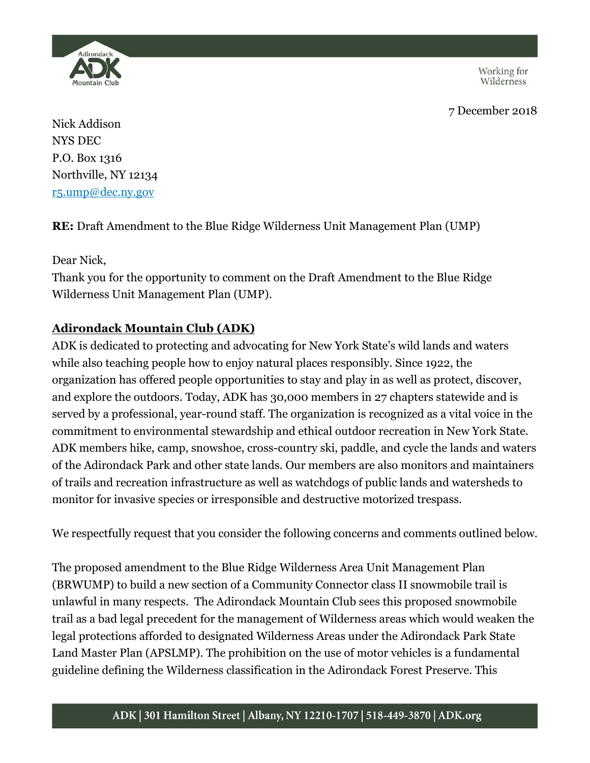Working for<br>Wilderness





Nick Addison NYS DEC P.O. Box 1316 Northville, NY 12134 [r5.ump@dec.ny.gov](mailto:r5.ump@dec.ny.gov)

**RE:** Draft Amendment to the Blue Ridge Wilderness Unit Management Plan (UMP)

Dear Nick,

Thank you for the opportunity to comment on the Draft Amendment to the Blue Ridge Wilderness Unit Management Plan (UMP).

## **Adirondack Mountain Club (ADK)**

ADK is dedicated to protecting and advocating for New York State's wild lands and waters while also teaching people how to enjoy natural places responsibly. Since 1922, the organization has offered people opportunities to stay and play in as well as protect, discover, and explore the outdoors. Today, ADK has 30,000 members in 27 chapters statewide and is served by a professional, year-round staff. The organization is recognized as a vital voice in the commitment to environmental stewardship and ethical outdoor recreation in New York State. ADK members hike, camp, snowshoe, cross-country ski, paddle, and cycle the lands and waters of the Adirondack Park and other state lands. Our members are also monitors and maintainers of trails and recreation infrastructure as well as watchdogs of public lands and watersheds to monitor for invasive species or irresponsible and destructive motorized trespass.

We respectfully request that you consider the following concerns and comments outlined below.

The proposed amendment to the Blue Ridge Wilderness Area Unit Management Plan (BRWUMP) to build a new section of a Community Connector class II snowmobile trail is unlawful in many respects. The Adirondack Mountain Club sees this proposed snowmobile trail as a bad legal precedent for the management of Wilderness areas which would weaken the legal protections afforded to designated Wilderness Areas under the Adirondack Park State Land Master Plan (APSLMP). The prohibition on the use of motor vehicles is a fundamental guideline defining the Wilderness classification in the Adirondack Forest Preserve. This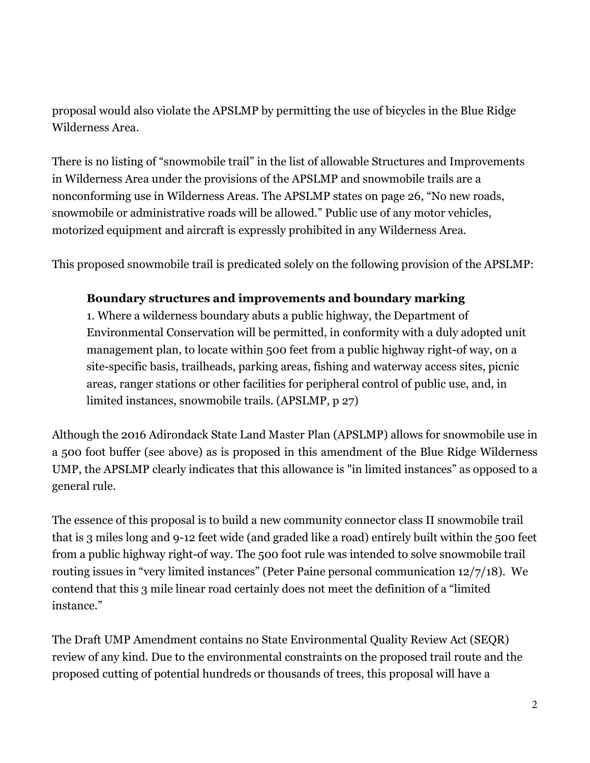proposal would also violate the APSLMP by permitting the use of bicycles in the Blue Ridge Wilderness Area.

There is no listing of "snowmobile trail" in the list of allowable Structures and Improvements in Wilderness Area under the provisions of the APSLMP and snowmobile trails are a nonconforming use in Wilderness Areas. The APSLMP states on page 26, "No new roads, snowmobile or administrative roads will be allowed." Public use of any motor vehicles, motorized equipment and aircraft is expressly prohibited in any Wilderness Area.

This proposed snowmobile trail is predicated solely on the following provision of the APSLMP:

## **Boundary structures and improvements and boundary marking**

1. Where a wilderness boundary abuts a public highway, the Department of Environmental Conservation will be permitted, in conformity with a duly adopted unit management plan, to locate within 500 feet from a public highway right-of way, on a site-specific basis, trailheads, parking areas, fishing and waterway access sites, picnic areas, ranger stations or other facilities for peripheral control of public use, and, in limited instances, snowmobile trails. (APSLMP, p 27)

Although the 2016 Adirondack State Land Master Plan (APSLMP) allows for snowmobile use in a 500 foot buffer (see above) as is proposed in this amendment of the Blue Ridge Wilderness UMP, the APSLMP clearly indicates that this allowance is "in limited instances" as opposed to a general rule.

The essence of this proposal is to build a new community connector class II snowmobile trail that is 3 miles long and 9-12 feet wide (and graded like a road) entirely built within the 500 feet from a public highway right-of way. The 500 foot rule was intended to solve snowmobile trail routing issues in "very limited instances" (Peter Paine personal communication 12/7/18). We contend that this 3 mile linear road certainly does not meet the definition of a "limited instance."

The Draft UMP Amendment contains no State Environmental Quality Review Act (SEQR) review of any kind. Due to the environmental constraints on the proposed trail route and the proposed cutting of potential hundreds or thousands of trees, this proposal will have a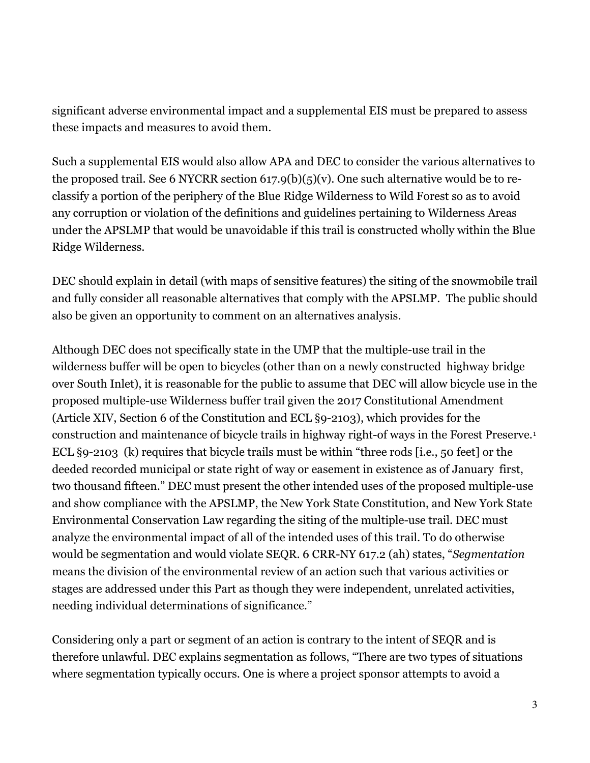significant adverse environmental impact and a supplemental EIS must be prepared to assess these impacts and measures to avoid them.

Such a supplemental EIS would also allow APA and DEC to consider the various alternatives to the proposed trail. See 6 NYCRR section  $617.9(b)(5)(v)$ . One such alternative would be to reclassify a portion of the periphery of the Blue Ridge Wilderness to Wild Forest so as to avoid any corruption or violation of the definitions and guidelines pertaining to Wilderness Areas under the APSLMP that would be unavoidable if this trail is constructed wholly within the Blue Ridge Wilderness.

DEC should explain in detail (with maps of sensitive features) the siting of the snowmobile trail and fully consider all reasonable alternatives that comply with the APSLMP. The public should also be given an opportunity to comment on an alternatives analysis.

Although DEC does not specifically state in the UMP that the multiple-use trail in the wilderness buffer will be open to bicycles (other than on a newly constructed highway bridge over South Inlet), it is reasonable for the public to assume that DEC will allow bicycle use in the proposed multiple-use Wilderness buffer trail given the 2017 Constitutional Amendment (Article XIV, Section 6 of the Constitution and ECL §9-2103), which provides for the construction and maintenance of bicycle trails in highway right-of ways in the Forest Preserve.[1](#page-3-0) ECL §9-2103 (k) requires that bicycle trails must be within "three rods [i.e., 50 feet] or the deeded recorded municipal or state right of way or easement in existence as of January first, two thousand fifteen." DEC must present the other intended uses of the proposed multiple-use and show compliance with the APSLMP, the New York State Constitution, and New York State Environmental Conservation Law regarding the siting of the multiple-use trail. DEC must analyze the environmental impact of all of the intended uses of this trail. To do otherwise would be segmentation and would violate SEQR. 6 CRR-NY 617.2 (ah) states, "*Segmentation* means the division of the environmental review of an action such that various activities or stages are addressed under this Part as though they were independent, unrelated activities, needing individual determinations of significance."

Considering only a part or segment of an action is contrary to the intent of SEQR and is therefore unlawful. DEC explains segmentation as follows, "There are two types of situations where segmentation typically occurs. One is where a project sponsor attempts to avoid a